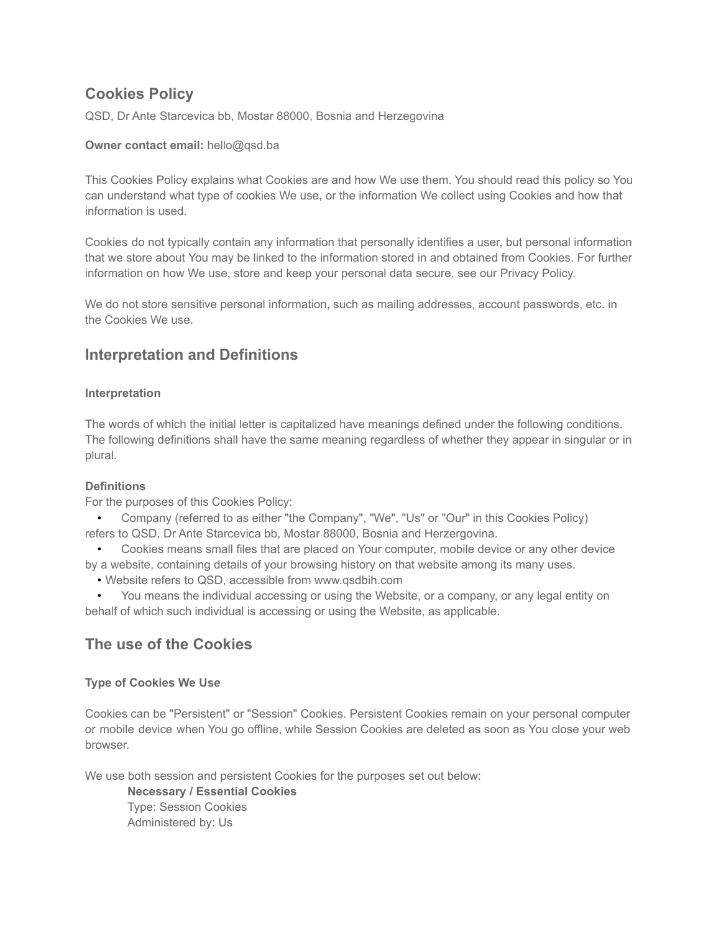# **Cookies Policy**

QSD, Dr Ante Starcevica bb, Mostar 88000, Bosnia and Herzegovina

#### **Owner contact email:** [hello@qsd.ba](mailto:hello@qsd.ba)

This Cookies Policy explains what Cookies are and how We use them. You should read this policy so You can understand what type of cookies We use, or the information We collect using Cookies and how that information is used.

Cookies do not typically contain any information that personally identifies a user, but personal information that we store about You may be linked to the information stored in and obtained from Cookies. For further information on how We use, store and keep your personal data secure, see our Privacy Policy.

We do not store sensitive personal information, such as mailing addresses, account passwords, etc. in the Cookies We use.

## **Interpretation and Definitions**

#### **Interpretation**

The words of which the initial letter is capitalized have meanings defined under the following conditions. The following definitions shall have the same meaning regardless of whether they appear in singular or in plural.

#### **Definitions**

For the purposes of this Cookies Policy:

• Company (referred to as either "the Company", "We", "Us" or "Our" in this Cookies Policy) refers to QSD, Dr Ante Starcevica bb, Mostar 88000, Bosnia and Herzergovina.

• Cookies means small files that are placed on Your computer, mobile device or any other device by a website, containing details of your browsing history on that website among its many uses.

• Website refers to QSD, accessible from [www.qsdbih.com](http://www.qsdbih.com/)

• You means the individual accessing or using the Website, or a company, or any legal entity on behalf of which such individual is accessing or using the Website, as applicable.

### **The use of the Cookies**

### **Type of Cookies We Use**

Cookies can be "Persistent" or "Session" Cookies. Persistent Cookies remain on your personal computer or mobile device when You go offline, while Session Cookies are deleted as soon as You close your web browser.

We use both session and persistent Cookies for the purposes set out below:

**Necessary / Essential Cookies** Type: Session Cookies Administered by: Us